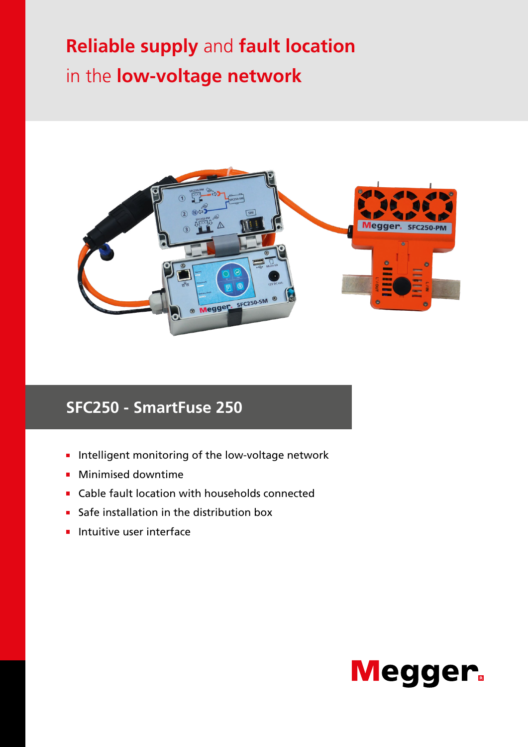# **Reliable supply** and **fault location**  in the **low-voltage network**



# **SFC250 - SmartFuse 250**

- Intelligent monitoring of the low-voltage network
- **Minimised downtime**
- **Cable fault location with households connected**
- Safe installation in the distribution box
- $\blacksquare$  Intuitive user interface

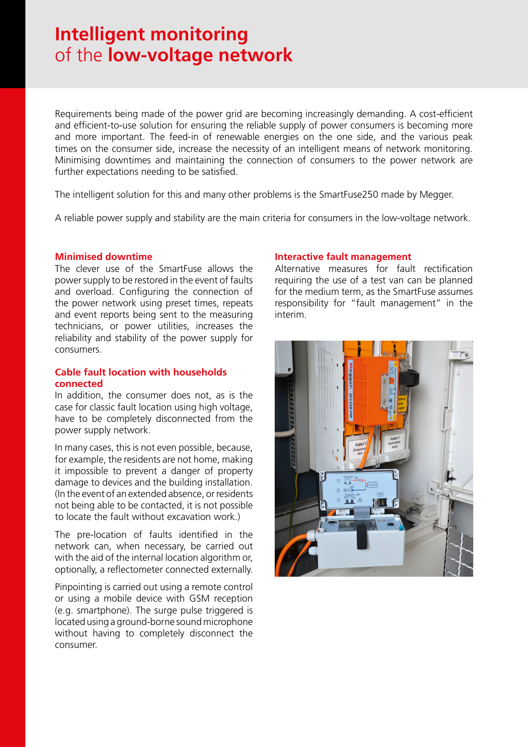# **Intelligent monitoring**  of the **low-voltage network**

Requirements being made of the power grid are becoming increasingly demanding. A cost-efficient and efficient-to-use solution for ensuring the reliable supply of power consumers is becoming more and more important. The feed-in of renewable energies on the one side, and the various peak times on the consumer side, increase the necessity of an intelligent means of network monitoring. Minimising downtimes and maintaining the connection of consumers to the power network are further expectations needing to be satisfied.

The intelligent solution for this and many other problems is the SmartFuse250 made by Megger.

A reliable power supply and stability are the main criteria for consumers in the low-voltage network.

#### **Minimised downtime**

The clever use of the SmartFuse allows the power supply to be restored in the event of faults and overload. Configuring the connection of the power network using preset times, repeats and event reports being sent to the measuring technicians, or power utilities, increases the reliability and stability of the power supply for consumers.

#### **Cable fault location with households connected**

In addition, the consumer does not, as is the case for classic fault location using high voltage, have to be completely disconnected from the power supply network.

In many cases, this is not even possible, because, for example, the residents are not home, making it impossible to prevent a danger of property damage to devices and the building installation. (In the event of an extended absence, or residents not being able to be contacted, it is not possible to locate the fault without excavation work.)

The pre-location of faults identified in the network can, when necessary, be carried out with the aid of the internal location algorithm or, optionally, a reflectometer connected externally.

Pinpointing is carried out using a remote control or using a mobile device with GSM reception (e.g. smartphone). The surge pulse triggered is located using a ground-borne sound microphone without having to completely disconnect the consumer.

#### **Interactive fault management**

Alternative measures for fault rectification requiring the use of a test van can be planned for the medium term, as the SmartFuse assumes responsibility for "fault management" in the interim.

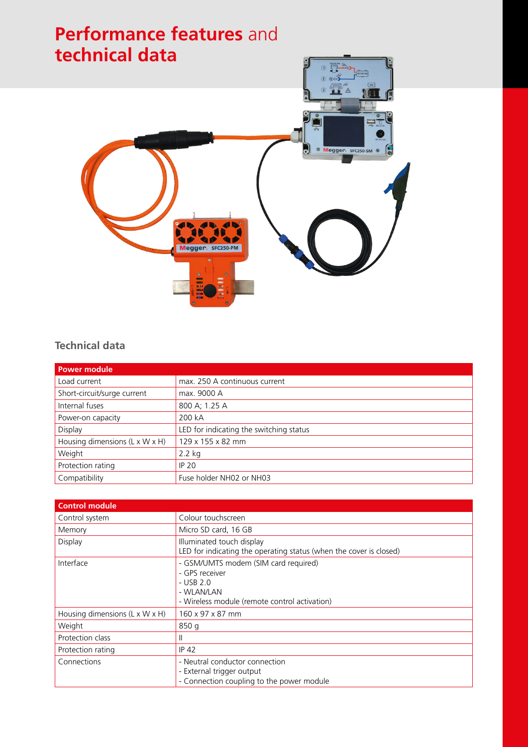

### **Technical data**

| <b>Power module</b>            |                                         |
|--------------------------------|-----------------------------------------|
| Load current                   | max. 250 A continuous current           |
| Short-circuit/surge current    | max. 9000 A                             |
| Internal fuses                 | 800 A; 1.25 A                           |
| Power-on capacity              | 200 kA                                  |
| Display                        | LED for indicating the switching status |
| Housing dimensions (L x W x H) | 129 x 155 x 82 mm                       |
| Weight                         | $2.2$ kg                                |
| Protection rating              | <b>IP 20</b>                            |
| Compatibility                  | Fuse holder NH02 or NH03                |

| <b>Control module</b>                      |                                                                                                                                      |
|--------------------------------------------|--------------------------------------------------------------------------------------------------------------------------------------|
| Control system                             | Colour touchscreen                                                                                                                   |
| Memory                                     | Micro SD card, 16 GB                                                                                                                 |
| Display                                    | Illuminated touch display<br>LED for indicating the operating status (when the cover is closed)                                      |
| Interface                                  | - GSM/UMTS modem (SIM card required)<br>- GPS receiver<br>$-$ USB 2.0<br>- WLAN/LAN<br>- Wireless module (remote control activation) |
| Housing dimensions $(L \times W \times H)$ | 160 x 97 x 87 mm                                                                                                                     |
| Weight                                     | 850 g                                                                                                                                |
| Protection class                           | Ш                                                                                                                                    |
| Protection rating                          | <b>IP 42</b>                                                                                                                         |
| Connections                                | - Neutral conductor connection<br>- External trigger output<br>- Connection coupling to the power module                             |